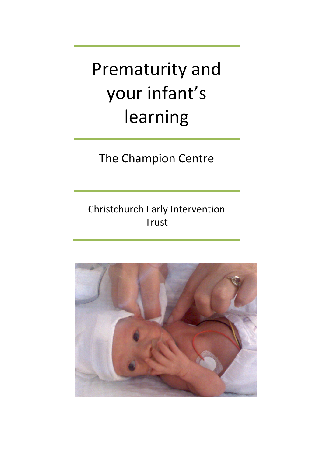Prematurity and your infant's learning

The Champion Centre

Christchurch Early Intervention Trust

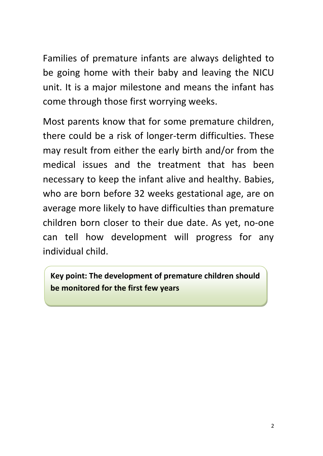Families of premature infants are always delighted to be going home with their baby and leaving the NICU unit. It is a major milestone and means the infant has come through those first worrying weeks.

Most parents know that for some premature children, there could be a risk of longer-term difficulties. These may result from either the early birth and/or from the medical issues and the treatment that has been necessary to keep the infant alive and healthy. Babies, who are born before 32 weeks gestational age, are on average more likely to have difficulties than premature children born closer to their due date. As yet, no-one can tell how development will progress for any individual child.

**Key point: The development of premature children should be monitored for the first few years**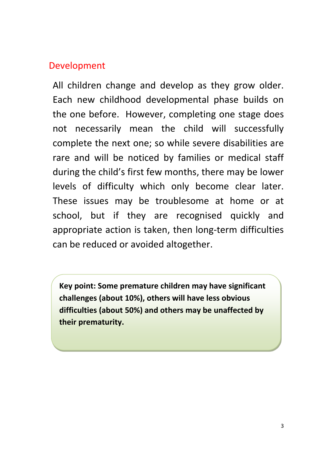## Development

All children change and develop as they grow older. Each new childhood developmental phase builds on the one before. However, completing one stage does not necessarily mean the child will successfully complete the next one; so while severe disabilities are rare and will be noticed by families or medical staff during the child's first few months, there may be lower levels of difficulty which only become clear later. These issues may be troublesome at home or at school, but if they are recognised quickly and appropriate action is taken, then long-term difficulties can be reduced or avoided altogether.

**Key point: Some premature children may have significant challenges (about 10%), others will have less obvious difficulties (about 50%) and others may be unaffected by their prematurity.**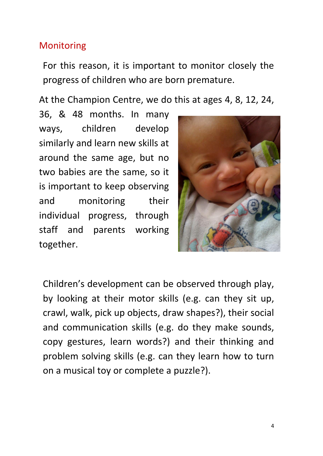# Monitoring

For this reason, it is important to monitor closely the progress of children who are born premature.

At the Champion Centre, we do this at ages 4, 8, 12, 24,

36, & 48 months. In many ways, children develop similarly and learn new skills at around the same age, but no two babies are the same, so it is important to keep observing and monitoring their individual progress, through staff and parents working together.



Children's development can be observed through play, by looking at their motor skills (e.g. can they sit up, crawl, walk, pick up objects, draw shapes?), their social and communication skills (e.g. do they make sounds, copy gestures, learn words?) and their thinking and problem solving skills (e.g. can they learn how to turn on a musical toy or complete a puzzle?).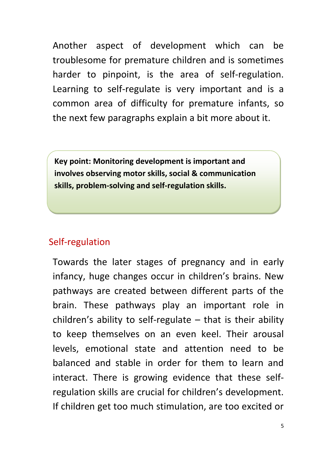Another aspect of development which can be troublesome for premature children and is sometimes harder to pinpoint, is the area of self-regulation. Learning to self-regulate is very important and is a common area of difficulty for premature infants, so the next few paragraphs explain a bit more about it.

**Key point: Monitoring development is important and involves observing motor skills, social & communication skills, problem-solving and self-regulation skills.**

## Self-regulation

Towards the later stages of pregnancy and in early infancy, huge changes occur in children's brains. New pathways are created between different parts of the brain. These pathways play an important role in children's ability to self-regulate  $-$  that is their ability to keep themselves on an even keel. Their arousal levels, emotional state and attention need to be balanced and stable in order for them to learn and interact. There is growing evidence that these selfregulation skills are crucial for children's development. If children get too much stimulation, are too excited or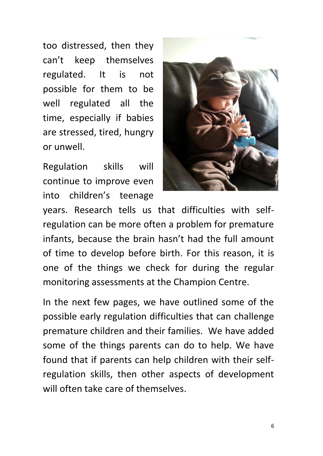too distressed, then they can't keep themselves regulated. It is not possible for them to be well regulated all the time, especially if babies are stressed, tired, hungry or unwell.

Regulation skills will continue to improve even into children's teenage



years. Research tells us that difficulties with selfregulation can be more often a problem for premature infants, because the brain hasn't had the full amount of time to develop before birth. For this reason, it is one of the things we check for during the regular monitoring assessments at the Champion Centre.

In the next few pages, we have outlined some of the possible early regulation difficulties that can challenge premature children and their families. We have added some of the things parents can do to help. We have found that if parents can help children with their selfregulation skills, then other aspects of development will often take care of themselves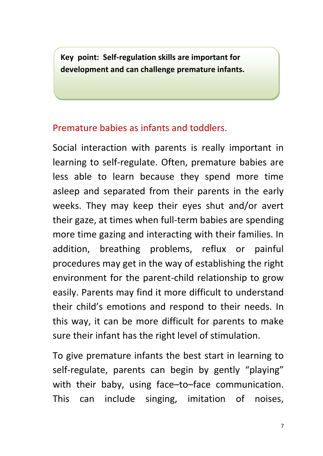**Key point: Self-regulation skills are important for development and can challenge premature infants.** 

# Premature babies as infants and toddlers.

Social interaction with parents is really important in learning to self-regulate. Often, premature babies are less able to learn because they spend more time asleep and separated from their parents in the early weeks. They may keep their eyes shut and/or avert their gaze, at times when full-term babies are spending more time gazing and interacting with their families. In addition, breathing problems, reflux or painful procedures may get in the way of establishing the right environment for the parent-child relationship to grow easily. Parents may find it more difficult to understand their child's emotions and respond to their needs. In this way, it can be more difficult for parents to make sure their infant has the right level of stimulation.

To give premature infants the best start in learning to self-regulate, parents can begin by gently "playing" with their baby, using face–to–face communication. This can include singing, imitation of noises,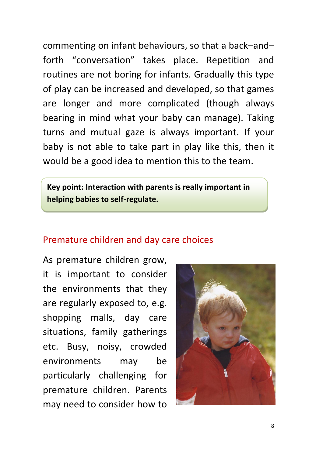commenting on infant behaviours, so that a back–and– forth "conversation" takes place. Repetition and routines are not boring for infants. Gradually this type of play can be increased and developed, so that games are longer and more complicated (though always bearing in mind what your baby can manage). Taking turns and mutual gaze is always important. If your baby is not able to take part in play like this, then it would be a good idea to mention this to the team.

**Key point: Interaction with parents is really important in helping babies to self-regulate.**

### Premature children and day care choices

As premature children grow, it is important to consider the environments that they are regularly exposed to, e.g. shopping malls, day care situations, family gatherings etc. Busy, noisy, crowded environments may be particularly challenging for premature children. Parents may need to consider how to

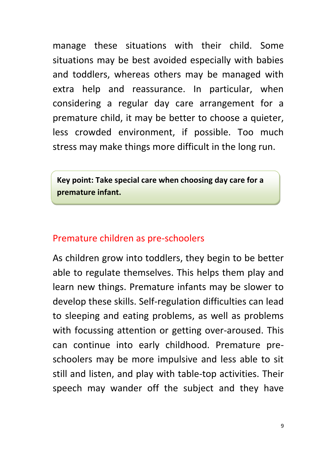manage these situations with their child. Some situations may be best avoided especially with babies and toddlers, whereas others may be managed with extra help and reassurance. In particular, when considering a regular day care arrangement for a premature child, it may be better to choose a quieter, less crowded environment, if possible. Too much stress may make things more difficult in the long run.

**Key point: Take special care when choosing day care for a premature infant.** 

### Premature children as pre-schoolers

As children grow into toddlers, they begin to be better able to regulate themselves. This helps them play and learn new things. Premature infants may be slower to develop these skills. Self-regulation difficulties can lead to sleeping and eating problems, as well as problems with focussing attention or getting over-aroused. This can continue into early childhood. Premature preschoolers may be more impulsive and less able to sit still and listen, and play with table-top activities. Their speech may wander off the subject and they have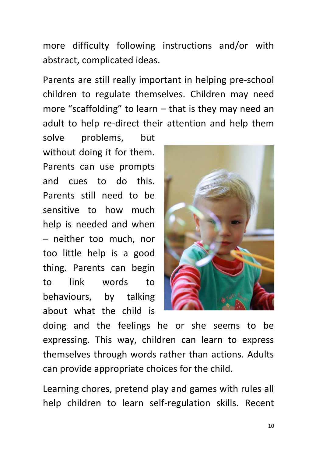more difficulty following instructions and/or with abstract, complicated ideas.

Parents are still really important in helping pre-school children to regulate themselves. Children may need more "scaffolding" to learn – that is they may need an adult to help re-direct their attention and help them

solve problems, but without doing it for them. Parents can use prompts and cues to do this. Parents still need to be sensitive to how much help is needed and when – neither too much, nor too little help is a good thing. Parents can begin to link words to behaviours, by talking about what the child is



doing and the feelings he or she seems to be expressing. This way, children can learn to express themselves through words rather than actions. Adults can provide appropriate choices for the child.

Learning chores, pretend play and games with rules all help children to learn self-regulation skills. Recent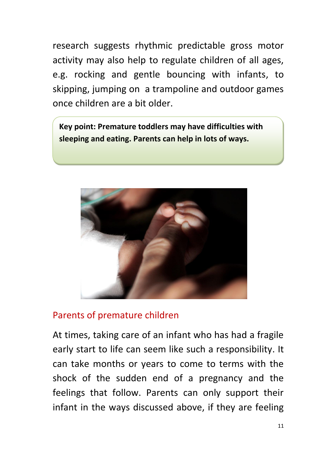research suggests rhythmic predictable gross motor activity may also help to regulate children of all ages, e.g. rocking and gentle bouncing with infants, to skipping, jumping on a trampoline and outdoor games once children are a bit older.

**Key point: Premature toddlers may have difficulties with sleeping and eating. Parents can help in lots of ways.**



## Parents of premature children

At times, taking care of an infant who has had a fragile early start to life can seem like such a responsibility. It can take months or years to come to terms with the shock of the sudden end of a pregnancy and the feelings that follow. Parents can only support their infant in the ways discussed above, if they are feeling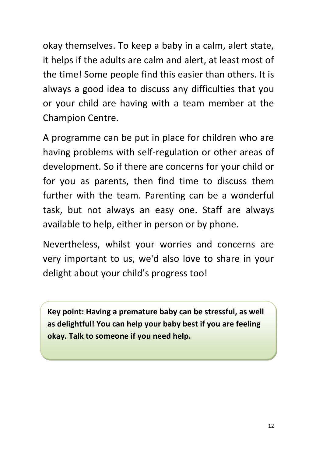okay themselves. To keep a baby in a calm, alert state, it helps if the adults are calm and alert, at least most of the time! Some people find this easier than others. It is always a good idea to discuss any difficulties that you or your child are having with a team member at the Champion Centre.

A programme can be put in place for children who are having problems with self-regulation or other areas of development. So if there are concerns for your child or for you as parents, then find time to discuss them further with the team. Parenting can be a wonderful task, but not always an easy one. Staff are always available to help, either in person or by phone.

Nevertheless, whilst your worries and concerns are very important to us, we'd also love to share in your delight about your child's progress too!

**Key point: Having a premature baby can be stressful, as well as delightful! You can help your baby best if you are feeling okay. Talk to someone if you need help.**